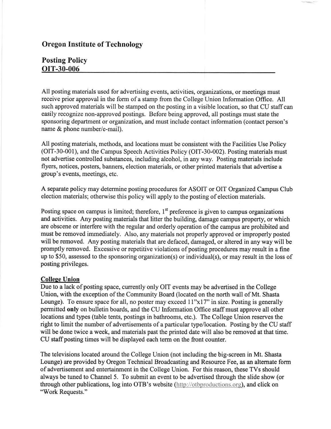## Oregon Institute of Technology

## Posting Policy OIT-30-006

All posting materials used for advertising events, activities, organizations, or meetings must receive prior approval in the form of a stamp from the College Union Information Office. All such approved materials will be stamped on the posting in a visible location, so that CU staff can easily recognize non-approved postings. Before being approved, all postings must state the sponsoring department or organization, and must include contact information (contact person's name & phone number/e-mail).

All posting materials, methods, and locations must be consistent with the Facilities Use Policy (OIT-30-001), and the Campus Speech Activities Policy (OIT-30-002). Posting materials must not advertise controlled substances, including alcohol, in any way. Posting materials include flyers, notices, posters, banners, election materials, or other printed materials that advertise a group's events, meetings, etc.

A separate policy may determine posting procedures for ASOIT or OIT Organized Campus Club election materials; otherwise this policy will apply to the posting of election materials.

Posting space on campus is limited; therefore,  $1<sup>st</sup>$  preference is given to campus organizations and activities. Any posting materials that litter the building, damage campus property, or which are obscene or interfere with the regular and orderly operation of the campus are prohibited and must be removed immediately. Also, any materials not properly approved or improperly posted will be removed. Any posting materials that are defaced, damaged, or altered in any way will be promptly rernoved. Excessive or repetitive violations of posting procedures may result in a fine up to \$50, assessed to the sponsoring organization(s) or individual(s), or may result in the loss of posting privileges.

## Collese Union

Due to a lack of posting space, currently only OIT events may be advertised in the College Union, with the exception of the Community Board (located on the north wall of Mt. Shasta Lounge). To ensure space for all, no poster may exceed 11"x17" in size. Posting is generally permitted only on bulletin boards, and the CU Information Office staff must approve all other locations and types (table tents, postings in bathrooms, etc.). The College Union reserves the right to limit the number of advertisements of a particular type/location. Posting by the CU staff will be done twice a week, and materials past the printed date will also be removed at that time. CU staff posting times will be displayed each term on the front counter.

The televisions located around the College Union (not including the big-screen in Mt. Shasta Lounge) are provided by Oregon Technical Broadcasting and Resource Fee, as an altemate form of advertisement and entertainment in the College Union. For this reason, these TVs should always be tuned to Channel 5. To submit an event to be advertised through the slide show (or through other publications, log into OTB's website (http://otbproductions.org), and click on "Work Requests."